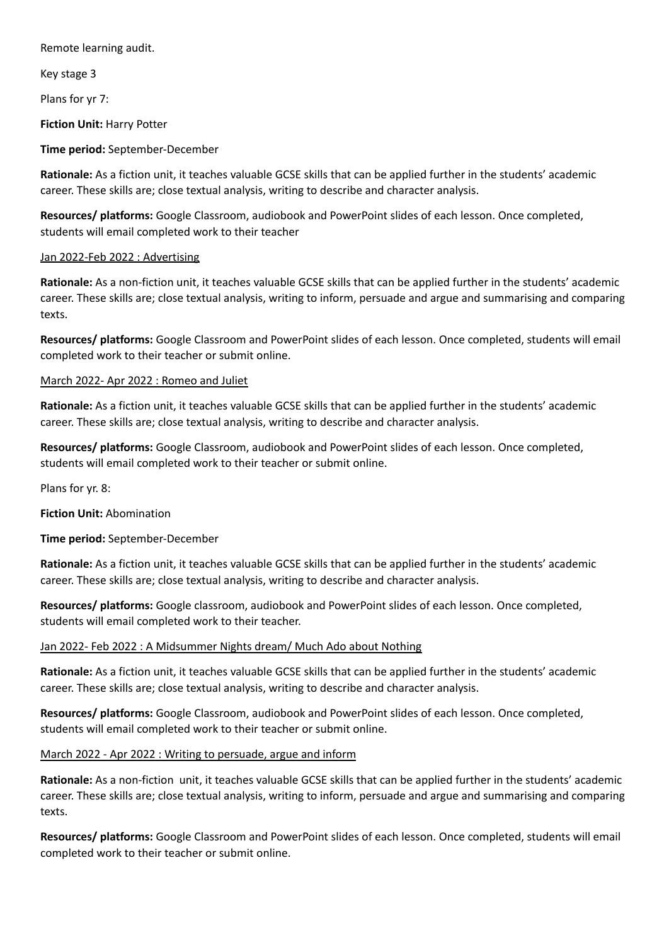Remote learning audit.

Key stage 3

Plans for yr 7:

**Fiction Unit:** Harry Potter

**Time period:** September-December

**Rationale:** As a fiction unit, it teaches valuable GCSE skills that can be applied further in the students' academic career. These skills are; close textual analysis, writing to describe and character analysis.

**Resources/ platforms:** Google Classroom, audiobook and PowerPoint slides of each lesson. Once completed, students will email completed work to their teacher

### Jan 2022-Feb 2022 : Advertising

**Rationale:** As a non-fiction unit, it teaches valuable GCSE skills that can be applied further in the students' academic career. These skills are; close textual analysis, writing to inform, persuade and argue and summarising and comparing texts.

**Resources/ platforms:** Google Classroom and PowerPoint slides of each lesson. Once completed, students will email completed work to their teacher or submit online.

# March 2022- Apr 2022 : Romeo and Juliet

**Rationale:** As a fiction unit, it teaches valuable GCSE skills that can be applied further in the students' academic career. These skills are; close textual analysis, writing to describe and character analysis.

**Resources/ platforms:** Google Classroom, audiobook and PowerPoint slides of each lesson. Once completed, students will email completed work to their teacher or submit online.

Plans for yr. 8:

**Fiction Unit:** Abomination

**Time period:** September-December

**Rationale:** As a fiction unit, it teaches valuable GCSE skills that can be applied further in the students' academic career. These skills are; close textual analysis, writing to describe and character analysis.

**Resources/ platforms:** Google classroom, audiobook and PowerPoint slides of each lesson. Once completed, students will email completed work to their teacher.

# Jan 2022- Feb 2022 : A Midsummer Nights dream/ Much Ado about Nothing

**Rationale:** As a fiction unit, it teaches valuable GCSE skills that can be applied further in the students' academic career. These skills are; close textual analysis, writing to describe and character analysis.

**Resources/ platforms:** Google Classroom, audiobook and PowerPoint slides of each lesson. Once completed, students will email completed work to their teacher or submit online.

March 2022 - Apr 2022 : Writing to persuade, argue and inform

**Rationale:** As a non-fiction unit, it teaches valuable GCSE skills that can be applied further in the students' academic career. These skills are; close textual analysis, writing to inform, persuade and argue and summarising and comparing texts.

**Resources/ platforms:** Google Classroom and PowerPoint slides of each lesson. Once completed, students will email completed work to their teacher or submit online.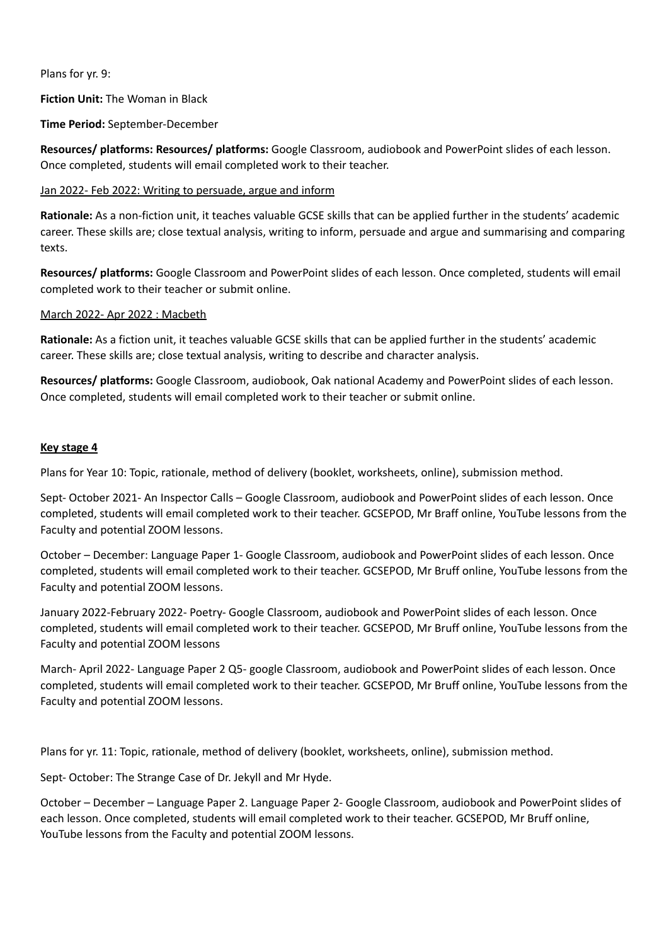Plans for yr. 9:

**Fiction Unit:** The Woman in Black

**Time Period:** September-December

**Resources/ platforms: Resources/ platforms:** Google Classroom, audiobook and PowerPoint slides of each lesson. Once completed, students will email completed work to their teacher.

### Jan 2022- Feb 2022: Writing to persuade, argue and inform

**Rationale:** As a non-fiction unit, it teaches valuable GCSE skills that can be applied further in the students' academic career. These skills are; close textual analysis, writing to inform, persuade and argue and summarising and comparing texts.

**Resources/ platforms:** Google Classroom and PowerPoint slides of each lesson. Once completed, students will email completed work to their teacher or submit online.

### March 2022- Apr 2022 : Macbeth

**Rationale:** As a fiction unit, it teaches valuable GCSE skills that can be applied further in the students' academic career. These skills are; close textual analysis, writing to describe and character analysis.

**Resources/ platforms:** Google Classroom, audiobook, Oak national Academy and PowerPoint slides of each lesson. Once completed, students will email completed work to their teacher or submit online.

#### **Key stage 4**

Plans for Year 10: Topic, rationale, method of delivery (booklet, worksheets, online), submission method.

Sept- October 2021- An Inspector Calls – Google Classroom, audiobook and PowerPoint slides of each lesson. Once completed, students will email completed work to their teacher. GCSEPOD, Mr Braff online, YouTube lessons from the Faculty and potential ZOOM lessons.

October – December: Language Paper 1- Google Classroom, audiobook and PowerPoint slides of each lesson. Once completed, students will email completed work to their teacher. GCSEPOD, Mr Bruff online, YouTube lessons from the Faculty and potential ZOOM lessons.

January 2022-February 2022- Poetry- Google Classroom, audiobook and PowerPoint slides of each lesson. Once completed, students will email completed work to their teacher. GCSEPOD, Mr Bruff online, YouTube lessons from the Faculty and potential ZOOM lessons

March- April 2022- Language Paper 2 Q5- google Classroom, audiobook and PowerPoint slides of each lesson. Once completed, students will email completed work to their teacher. GCSEPOD, Mr Bruff online, YouTube lessons from the Faculty and potential ZOOM lessons.

Plans for yr. 11: Topic, rationale, method of delivery (booklet, worksheets, online), submission method.

Sept- October: The Strange Case of Dr. Jekyll and Mr Hyde.

October – December – Language Paper 2. Language Paper 2- Google Classroom, audiobook and PowerPoint slides of each lesson. Once completed, students will email completed work to their teacher. GCSEPOD, Mr Bruff online, YouTube lessons from the Faculty and potential ZOOM lessons.